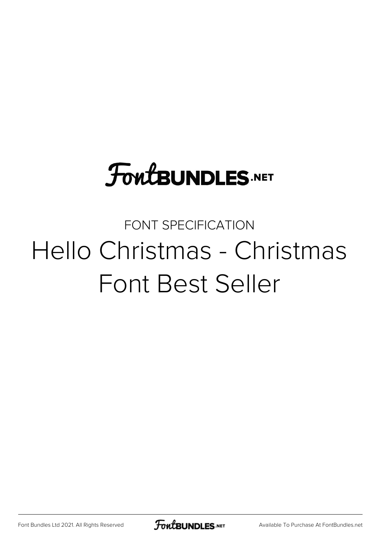# **FoutBUNDLES.NET**

#### FONT SPECIFICATION Hello Christmas - Christmas Font Best Seller

[Font Bundles Ltd 2021. All Rights Reserved](https://fontbundles.net/) **FoutBUNDLES.NET** [Available To Purchase At FontBundles.net](https://fontbundles.net/)

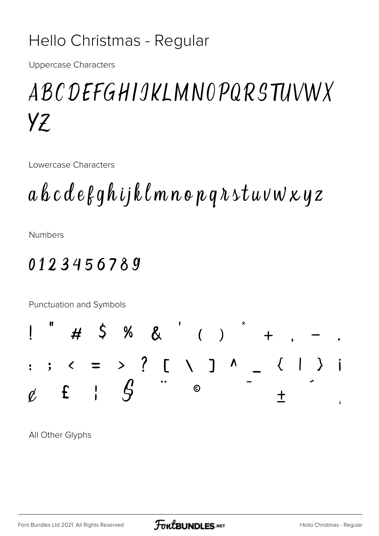#### Hello Christmas - Regular

**Uppercase Characters** 

## ABC DEFGHIJKLMNOPQRSTUVWX  $YZ$

Lowercase Characters

 $a\,b\,c\,d\,e\,\beta\,q\,h\,ij\,k\,\ell\,m\,n\,o\,p\,q\,\lambda\,st\,u\,v\,w\,\varkappa\,y\,z$ 

**Numbers** 

#### 0123456789

Punctuation and Symbols % &  $'$  ( )  $\mathsf{S}$  $\overline{H}$  $=$  > ? [ \ ] ^ \_  $\left| \begin{array}{ccc} 0 & 0 & 0 \\ 0 & 0 & 0 \\ 0 & 0 & 0 \\ 0 & 0 & 0 \\ 0 & 0 & 0 \\ 0 & 0 & 0 \\ 0 & 0 & 0 \\ 0 & 0 & 0 \\ 0 & 0 & 0 \\ 0 & 0 & 0 \\ 0 & 0 & 0 \\ 0 & 0 & 0 \\ 0 & 0 & 0 \\ 0 & 0 & 0 & 0 \\ 0 & 0 & 0 & 0 \\ 0 & 0 & 0 & 0 \\ 0 & 0 & 0 & 0 \\ 0 & 0 & 0 & 0 & 0 \\ 0 & 0 & 0 & 0 & 0 \\ 0 & 0 & 0 & 0 & 0 \\$  $\ddot{\cdot}$ 

 $\overline{\mathcal{L}}$  $\mathbf{i}$  $\mathcal{G}% _{M_{1},M_{2}}^{\alpha,\beta}(\varepsilon)$  $f$  $\odot$  $\mathbf{I}$  $\phi'$  $\mathbf +$ s

All Other Glyphs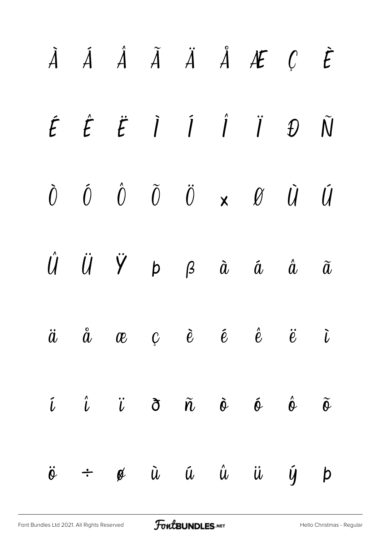|                   |  |  | $\dot{A}$ $\dot{A}$ $\dot{A}$ $\ddot{A}$ $\dot{A}$ $\dot{A}$ $\dot{A}$ $\dot{C}$ $\dot{E}$                                                                                  |  |
|-------------------|--|--|-----------------------------------------------------------------------------------------------------------------------------------------------------------------------------|--|
|                   |  |  | $\label{eq:2} \acute{E} \quad \acute{E} \quad \acute{E} \quad \dot{\hat{I}} \quad \acute{I} \quad \acute{I} \quad \ddot{I} \quad \  \, \ddot{D} \quad \  \, \tilde{\bf{N}}$ |  |
|                   |  |  | $\begin{array}{ccccccccccccc} \hat{U} & \hat{U} & \hat{U} & \hat{U} & \hat{U} & \times & \hat{U} & \hat{U} & \hat{U} & \end{array}$                                         |  |
|                   |  |  | $\begin{array}{ccccccccccccc} \hat U & \hat U & \hat V & \mathsf{p} & \mathsf{g} & \hat a & \hat a & \hat a & \hat a \end{array}$                                           |  |
|                   |  |  | $\ddot{a}$ $\ddot{a}$ $\alpha$ $c$ $\ddot{e}$ $\ddot{e}$ $\ddot{e}$ $\ddot{e}$ $\ddot{v}$                                                                                   |  |
|                   |  |  | $\hat{\iota}$ $\hat{\iota}$ $\hat{\iota}$ $\vec{\sigma}$ $\tilde{\eta}$ $\tilde{\sigma}$ $\hat{\sigma}$ $\hat{\sigma}$ $\tilde{\sigma}$                                     |  |
| $\ddot{\theta}$ ÷ |  |  | $\phi$ $\dot{u}$ $\dot{u}$ $\dot{u}$ $\dot{u}$ $\dot{y}$ $p$                                                                                                                |  |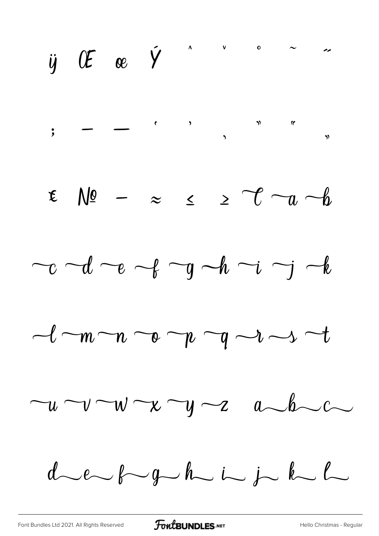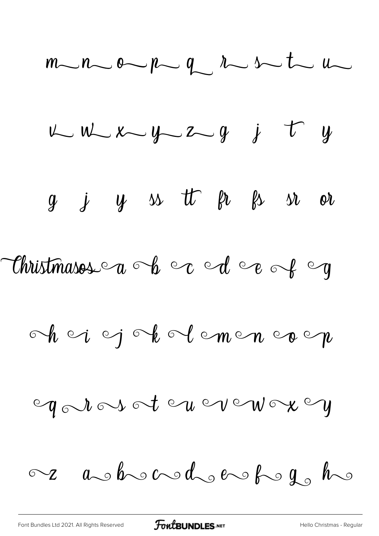$m-n$  op  $q$   $\sim$  s t  $u$  $u w x - y z - y$  j t y  $g$   $j$   $y$   $s$  tt  $\beta$   $s$   $s$   $s$ Christmasos a b c d e of g  $\circ h$  o  $i \circ j \circ k \circ l \circ m \circ n \circ o \circ n$ ogaios ot ou vou ox oy  $\sim$  as be and dependent  $\sigma$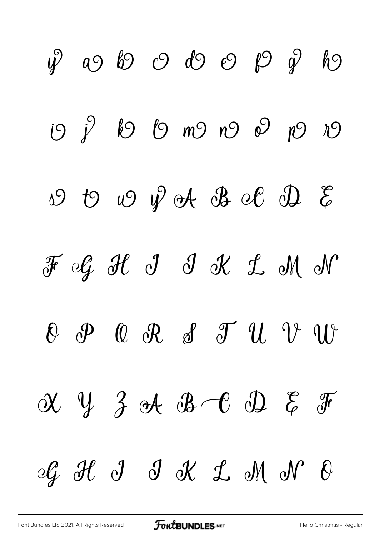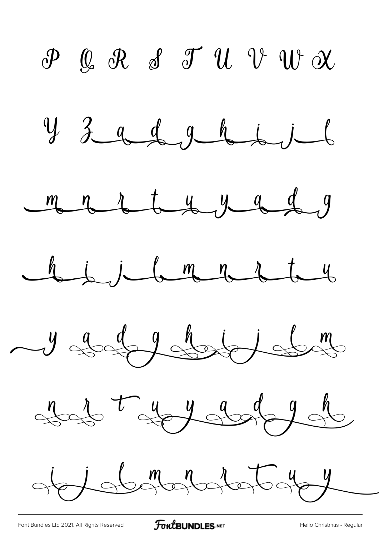